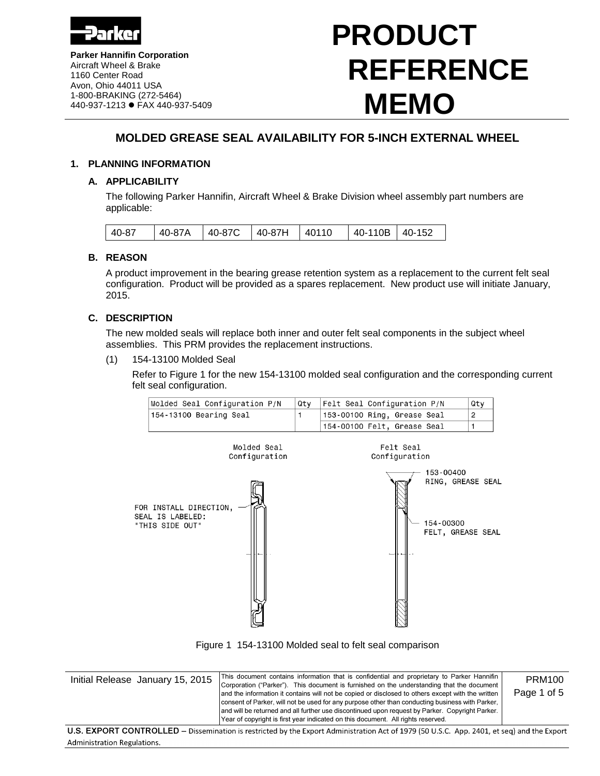

**Parker Hannifin Corporation** Aircraft Wheel & Brake 1160 Center Road Avon, Ohio 44011 USA 1-800-BRAKING (272-5464) 440-937-1213 FAX 440-937-5409

# **PRODUCT REFERENCE MEMO**

# **MOLDED GREASE SEAL AVAILABILITY FOR 5-INCH EXTERNAL WHEEL**

# **1. PLANNING INFORMATION**

# **A. APPLICABILITY**

The following Parker Hannifin, Aircraft Wheel & Brake Division wheel assembly part numbers are applicable:

| 40-87A   40-87C   40-87H   40110<br>40-87 | 40-110B 40-152 |
|-------------------------------------------|----------------|
|-------------------------------------------|----------------|

# **B. REASON**

A product improvement in the bearing grease retention system as a replacement to the current felt seal configuration. Product will be provided as a spares replacement. New product use will initiate January, 2015.

# **C. DESCRIPTION**

The new molded seals will replace both inner and outer felt seal components in the subject wheel assemblies. This PRM provides the replacement instructions.

(1) 154-13100 Molded Seal

Refer to Figure 1 for the new 154-13100 molded seal configuration and the corresponding current felt seal configuration.

| Molded Seal Configuration P/N | Qtv | <b>Felt Seal Configuration P/N</b> | Qtv |
|-------------------------------|-----|------------------------------------|-----|
| 154-13100 Bearing Seal        |     | 153-00100 Ring, Grease Seal        |     |
|                               |     | 154-00100 Felt, Grease Seal        |     |





| Initial Release January 15, 2015                                                                                                           | This document contains information that is confidential and proprietary to Parker Hannifin<br>Corporation ("Parker"). This document is furnished on the understanding that the document<br>and the information it contains will not be copied or disclosed to others except with the written<br>consent of Parker, will not be used for any purpose other than conducting business with Parker,<br>and will be returned and all further use discontinued upon request by Parker. Copyright Parker.<br>Year of copyright is first year indicated on this document. All rights reserved. | <b>PRM100</b><br>Page 1 of 5 |  |
|--------------------------------------------------------------------------------------------------------------------------------------------|----------------------------------------------------------------------------------------------------------------------------------------------------------------------------------------------------------------------------------------------------------------------------------------------------------------------------------------------------------------------------------------------------------------------------------------------------------------------------------------------------------------------------------------------------------------------------------------|------------------------------|--|
|                                                                                                                                            |                                                                                                                                                                                                                                                                                                                                                                                                                                                                                                                                                                                        |                              |  |
| U.S. EXPORT CONTROLLED – Dissemination is restricted by the Export Administration Act of 1979 (50 U.S.C. App. 2401, et seq) and the Export |                                                                                                                                                                                                                                                                                                                                                                                                                                                                                                                                                                                        |                              |  |

**Administration Regulations.**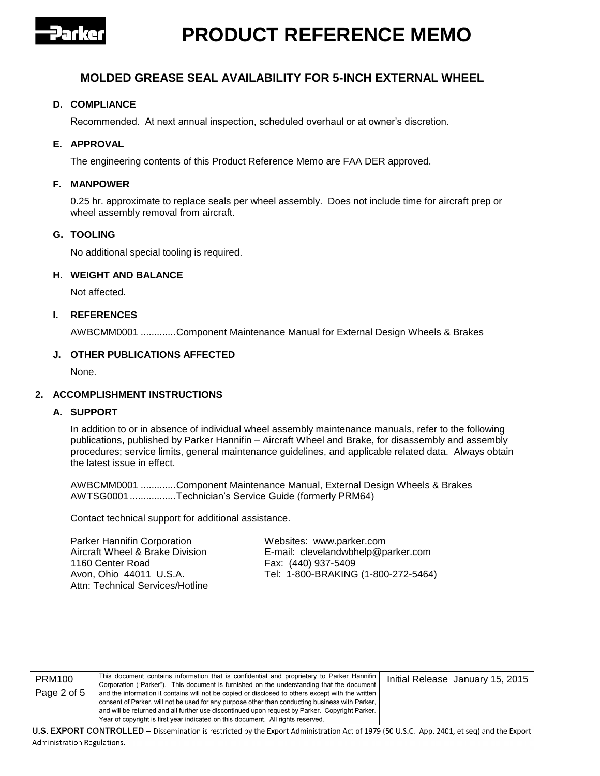

## **D. COMPLIANCE**

Recommended. At next annual inspection, scheduled overhaul or at owner's discretion.

## **E. APPROVAL**

The engineering contents of this Product Reference Memo are FAA DER approved.

#### **F. MANPOWER**

0.25 hr. approximate to replace seals per wheel assembly. Does not include time for aircraft prep or wheel assembly removal from aircraft.

#### **G. TOOLING**

No additional special tooling is required.

# **H. WEIGHT AND BALANCE**

Not affected.

#### **I. REFERENCES**

AWBCMM0001 .............Component Maintenance Manual for External Design Wheels & Brakes

#### **J. OTHER PUBLICATIONS AFFECTED**

None.

## **2. ACCOMPLISHMENT INSTRUCTIONS**

#### **A. SUPPORT**

**Administration Regulations.** 

In addition to or in absence of individual wheel assembly maintenance manuals, refer to the following publications, published by Parker Hannifin – Aircraft Wheel and Brake, for disassembly and assembly procedures; service limits, general maintenance guidelines, and applicable related data. Always obtain the latest issue in effect.

AWBCMM0001 .............Component Maintenance Manual, External Design Wheels & Brakes AWTSG0001.................Technician's Service Guide (formerly PRM64)

Contact technical support for additional assistance.

Parker Hannifin Corporation Websites: www.parker.com 1160 Center Road Fax: (440) 937-5409 Attn: Technical Services/Hotline

Aircraft Wheel & Brake Division E-mail: clevelandwbhelp@parker.com Avon, Ohio 44011 U.S.A. Tel: 1-800-BRAKING (1-800-272-5464)

| <b>PRM100</b>                                                                                                                              | This document contains information that is confidential and proprietary to Parker Hannifin        | Initial Release January 15, 2015 |  |  |  |
|--------------------------------------------------------------------------------------------------------------------------------------------|---------------------------------------------------------------------------------------------------|----------------------------------|--|--|--|
|                                                                                                                                            | Corporation ("Parker"). This document is furnished on the understanding that the document         |                                  |  |  |  |
| Page 2 of 5                                                                                                                                | and the information it contains will not be copied or disclosed to others except with the written |                                  |  |  |  |
|                                                                                                                                            | consent of Parker, will not be used for any purpose other than conducting business with Parker,   |                                  |  |  |  |
|                                                                                                                                            | and will be returned and all further use discontinued upon request by Parker. Copyright Parker.   |                                  |  |  |  |
|                                                                                                                                            | Year of copyright is first year indicated on this document. All rights reserved.                  |                                  |  |  |  |
| U.S. EXPORT CONTROLLED – Dissemination is restricted by the Export Administration Act of 1979 (50 U.S.C. App. 2401, et seq) and the Export |                                                                                                   |                                  |  |  |  |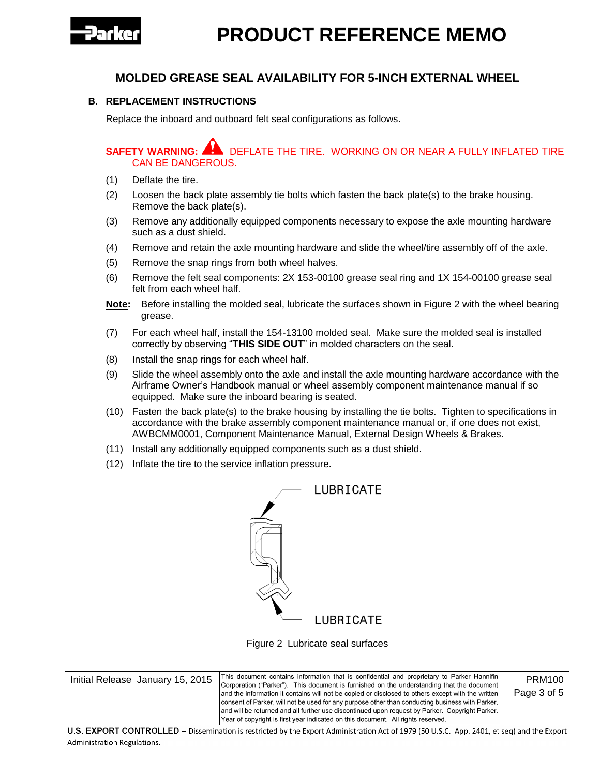

# **B. REPLACEMENT INSTRUCTIONS**

Replace the inboard and outboard felt seal configurations as follows.

**SAFETY WARNING:** DEFLATE THE TIRE. WORKING ON OR NEAR A FULLY INFLATED TIRE CAN BE DANGEROUS.

- (1) Deflate the tire.
- (2) Loosen the back plate assembly tie bolts which fasten the back plate(s) to the brake housing. Remove the back plate(s).
- (3) Remove any additionally equipped components necessary to expose the axle mounting hardware such as a dust shield.
- (4) Remove and retain the axle mounting hardware and slide the wheel/tire assembly off of the axle.
- (5) Remove the snap rings from both wheel halves.
- (6) Remove the felt seal components: 2X 153-00100 grease seal ring and 1X 154-00100 grease seal felt from each wheel half.
- **Note:** Before installing the molded seal, lubricate the surfaces shown in Figure 2 with the wheel bearing grease.
- (7) For each wheel half, install the 154-13100 molded seal. Make sure the molded seal is installed correctly by observing "**THIS SIDE OUT**" in molded characters on the seal.
- (8) Install the snap rings for each wheel half.
- (9) Slide the wheel assembly onto the axle and install the axle mounting hardware accordance with the Airframe Owner's Handbook manual or wheel assembly component maintenance manual if so equipped. Make sure the inboard bearing is seated.
- (10) Fasten the back plate(s) to the brake housing by installing the tie bolts. Tighten to specifications in accordance with the brake assembly component maintenance manual or, if one does not exist, AWBCMM0001, Component Maintenance Manual, External Design Wheels & Brakes.
- (11) Install any additionally equipped components such as a dust shield.
- (12) Inflate the tire to the service inflation pressure.

| LUBRICATE |
|-----------|
|           |
|           |
| LUBRICATE |

Figure 2 Lubricate seal surfaces

| Initial Release January 15, 2015 | This document contains information that is confidential and proprietary to Parker Hannifin<br>Corporation ("Parker"). This document is furnished on the understanding that the document<br>and the information it contains will not be copied or disclosed to others except with the written<br>consent of Parker, will not be used for any purpose other than conducting business with Parker, | PRM100<br>Page 3 of 5 |
|----------------------------------|-------------------------------------------------------------------------------------------------------------------------------------------------------------------------------------------------------------------------------------------------------------------------------------------------------------------------------------------------------------------------------------------------|-----------------------|
|                                  | and will be returned and all further use discontinued upon request by Parker. Copyright Parker.<br>[Year of copyright is first year indicated on this document. All rights reserved.                                                                                                                                                                                                            |                       |
|                                  |                                                                                                                                                                                                                                                                                                                                                                                                 |                       |

U.S. EXPORT CONTROLLED - Dissemination is restricted by the Export Administration Act of 1979 (50 U.S.C. App. 2401, et seq) and the Export **Administration Regulations.**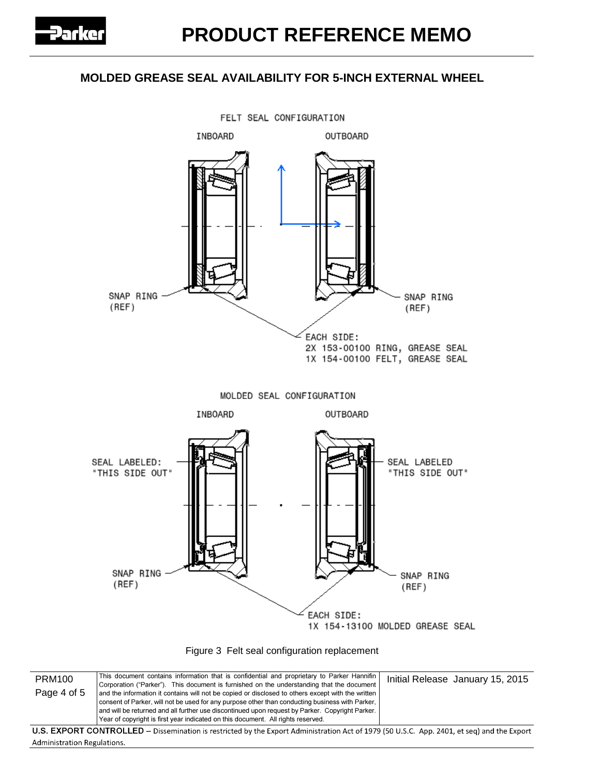

Figure 3 Felt seal configuration replacement

| <b>PRM100</b><br>Page 4 of 5 | This document contains information that is confidential and proprietary to Parker Hannifin<br>Corporation ("Parker"). This document is furnished on the understanding that the document<br>and the information it contains will not be copied or disclosed to others except with the written<br>consent of Parker, will not be used for any purpose other than conducting business with Parker,<br>and will be returned and all further use discontinued upon request by Parker. Copyright Parker.<br>Year of copyright is first year indicated on this document. All rights reserved. | Initial Release January 15, 2015 |
|------------------------------|----------------------------------------------------------------------------------------------------------------------------------------------------------------------------------------------------------------------------------------------------------------------------------------------------------------------------------------------------------------------------------------------------------------------------------------------------------------------------------------------------------------------------------------------------------------------------------------|----------------------------------|
|                              | U.S. EXPORT CONTROLLED – Dissemination is restricted by the Export Administration Act of 1979 (50 U.S.C. App. 2401, et seq) and the Export                                                                                                                                                                                                                                                                                                                                                                                                                                             |                                  |
| Administration Regulations.  |                                                                                                                                                                                                                                                                                                                                                                                                                                                                                                                                                                                        |                                  |